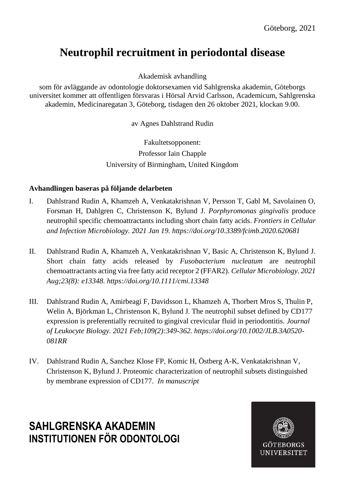# **Neutrophil recruitment in periodontal disease**

Akademisk avhandling

som för avläggande av odontologie doktorsexamen vid Sahlgrenska akademin, Göteborgs universitet kommer att offentligen försvaras i Hörsal Arvid Carlsson, Academicum, Sahlgrenska akademin, Medicinaregatan 3, Göteborg, tisdagen den 26 oktober 2021, klockan 9.00.

av Agnes Dahlstrand Rudin

Fakultetsopponent: Professor Iain Chapple University of Birmingham, United Kingdom

### **Avhandlingen baseras på följande delarbeten**

- I. Dahlstrand Rudin A, Khamzeh A, Venkatakrishnan V, Persson T, Gabl M, Savolainen O, Forsman H, Dahlgren C, Christenson K, Bylund J. *Porphyromonas gingivalis* produce neutrophil specific chemoattractants including short chain fatty acids. *Frontiers in Cellular and Infection Microbiology. 2021 Jan 19. https://doi.org/10.3389/fcimb.2020.620681*
- II. Dahlstrand Rudin A, Khamzeh A, Venkatakrishnan V, Basic A, Christenson K, Bylund J. Short chain fatty acids released by *Fusobacterium nucleatum* are neutrophil chemoattractants acting via free fatty acid receptor 2 (FFAR2). *Cellular Microbiology. 2021 Aug;23(8): e13348. https://doi.org/10.1111/cmi.13348*
- III. Dahlstrand Rudin A, Amirbeagi F, Davidsson L, Khamzeh A, Thorbert Mros S, Thulin P, Welin A, Björkman L, Christenson K, Bylund J. The neutrophil subset defined by CD177 expression is preferentially recruited to gingival crevicular fluid in periodontitis. *Journal of Leukocyte Biology. 2021 Feb;109(2):349-362. https://doi.org/10.1002/JLB.3A0520- 081RR*
- IV. Dahlstrand Rudin A, Sanchez Klose FP, Komic H, Östberg A-K, Venkatakrishnan V, Christenson K, Bylund J. Proteomic characterization of neutrophil subsets distinguished by membrane expression of CD177. *In manuscript*

## **SAHLGRENSKA AKADEMIN INSTITUTIONEN FÖR ODONTOLOGI**